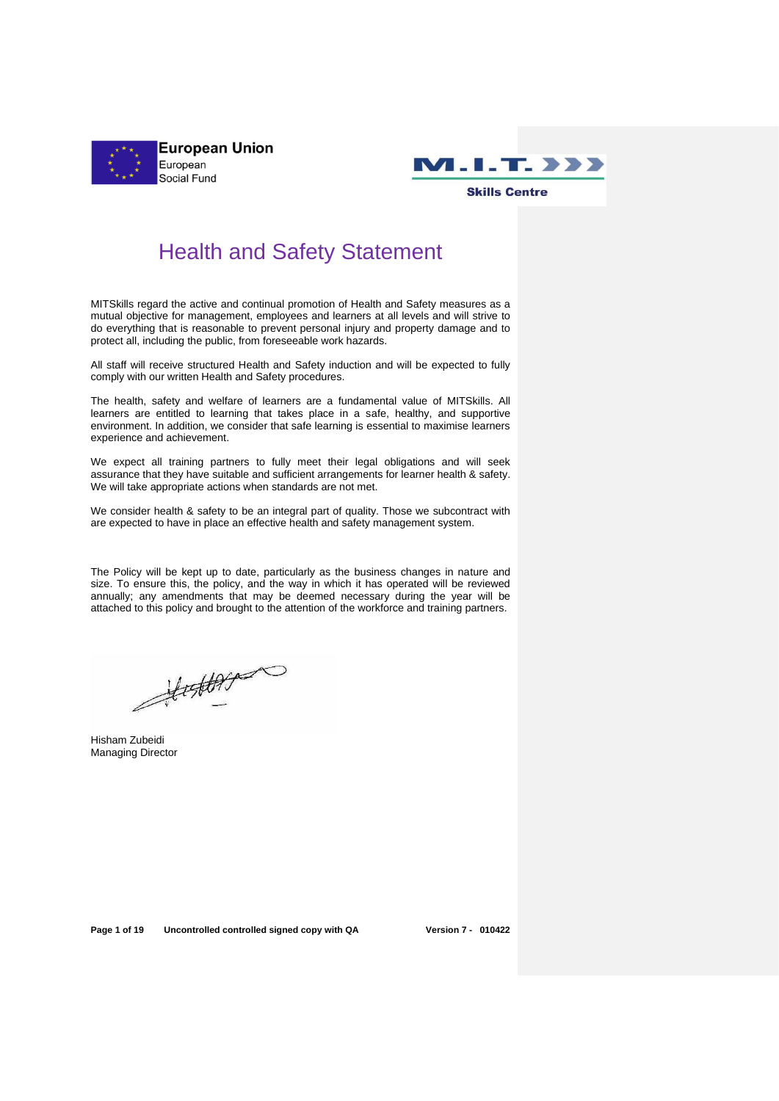



## Health and Safety Statement

MITSkills regard the active and continual promotion of Health and Safety measures as a mutual objective for management, employees and learners at all levels and will strive to do everything that is reasonable to prevent personal injury and property damage and to protect all, including the public, from foreseeable work hazards.

All staff will receive structured Health and Safety induction and will be expected to fully comply with our written Health and Safety procedures.

The health, safety and welfare of learners are a fundamental value of MITSkills. All learners are entitled to learning that takes place in a safe, healthy, and supportive environment. In addition, we consider that safe learning is essential to maximise learners experience and achievement.

We expect all training partners to fully meet their legal obligations and will seek assurance that they have suitable and sufficient arrangements for learner health & safety. We will take appropriate actions when standards are not met.

We consider health & safety to be an integral part of quality. Those we subcontract with are expected to have in place an effective health and safety management system.

The Policy will be kept up to date, particularly as the business changes in nature and size. To ensure this, the policy, and the way in which it has operated will be reviewed annually; any amendments that may be deemed necessary during the year will be attached to this policy and brought to the attention of the workforce and training partners.

 $\frac{4}{3}$ 

Hisham Zubeidi Managing Director

**Page 1 of 19 Uncontrolled controlled signed copy with QA Version 7 - 010422**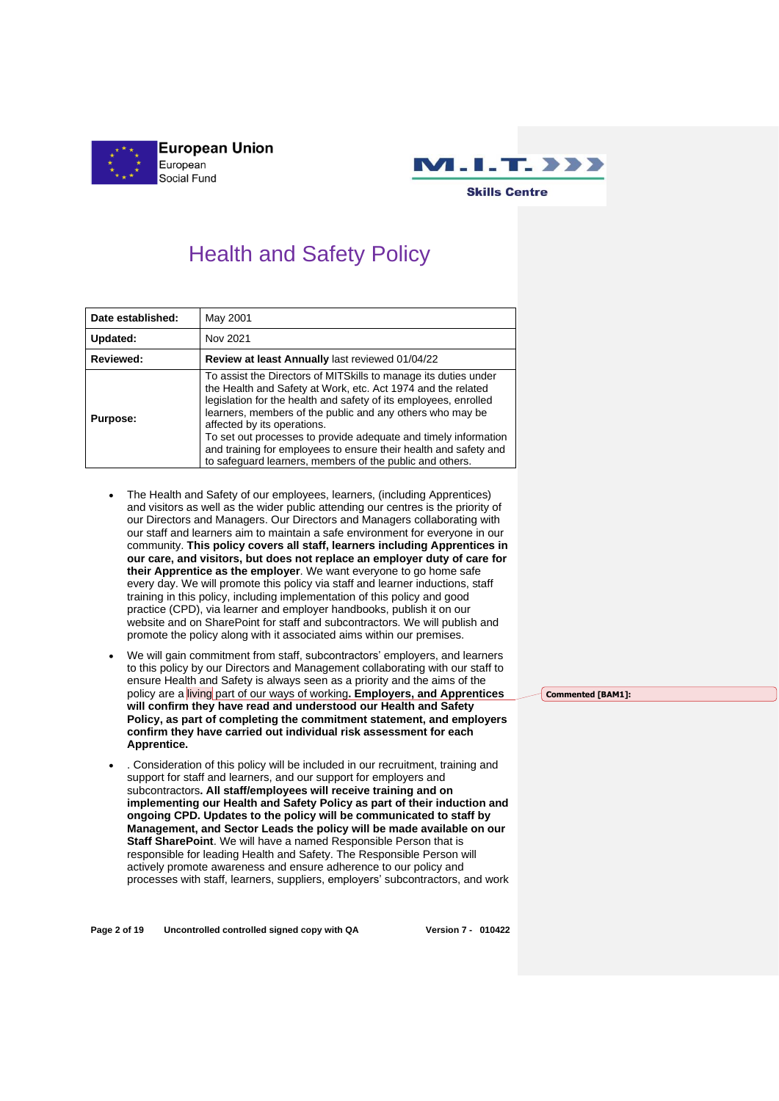



# Health and Safety Policy

| Date established: | May 2001                                                                                                                                                                                                                                                                                                                                                                                                                                                                                            |  |  |
|-------------------|-----------------------------------------------------------------------------------------------------------------------------------------------------------------------------------------------------------------------------------------------------------------------------------------------------------------------------------------------------------------------------------------------------------------------------------------------------------------------------------------------------|--|--|
| Updated:          | Nov 2021                                                                                                                                                                                                                                                                                                                                                                                                                                                                                            |  |  |
| Reviewed:         | Review at least Annually last reviewed 01/04/22                                                                                                                                                                                                                                                                                                                                                                                                                                                     |  |  |
| <b>Purpose:</b>   | To assist the Directors of MITS kills to manage its duties under<br>the Health and Safety at Work, etc. Act 1974 and the related<br>legislation for the health and safety of its employees, enrolled<br>learners, members of the public and any others who may be<br>affected by its operations.<br>To set out processes to provide adequate and timely information<br>and training for employees to ensure their health and safety and<br>to safeguard learners, members of the public and others. |  |  |

- The Health and Safety of our employees, learners, (including Apprentices) and visitors as well as the wider public attending our centres is the priority of our Directors and Managers. Our Directors and Managers collaborating with our staff and learners aim to maintain a safe environment for everyone in our community. **This policy covers all staff, learners including Apprentices in our care, and visitors, but does not replace an employer duty of care for their Apprentice as the employer**. We want everyone to go home safe every day. We will promote this policy via staff and learner inductions, staff training in this policy, including implementation of this policy and good practice (CPD), via learner and employer handbooks, publish it on our website and on SharePoint for staff and subcontractors. We will publish and promote the policy along with it associated aims within our premises.
- We will gain commitment from staff, subcontractors' employers, and learners to this policy by our Directors and Management collaborating with our staff to ensure Health and Safety is always seen as a priority and the aims of the policy are a living part of our ways of working**. Employers, and Apprentices will confirm they have read and understood our Health and Safety Policy, as part of completing the commitment statement, and employers confirm they have carried out individual risk assessment for each Apprentice.**
- . Consideration of this policy will be included in our recruitment, training and support for staff and learners, and our support for employers and subcontractors**. All staff/employees will receive training and on implementing our Health and Safety Policy as part of their induction and ongoing CPD. Updates to the policy will be communicated to staff by Management, and Sector Leads the policy will be made available on our Staff SharePoint**. We will have a named Responsible Person that is responsible for leading Health and Safety. The Responsible Person will actively promote awareness and ensure adherence to our policy and processes with staff, learners, suppliers, employers' subcontractors, and work

**Page 2 of 19 Uncontrolled controlled signed copy with QA Version 7 - 010422**

**Commented [BAM1]:**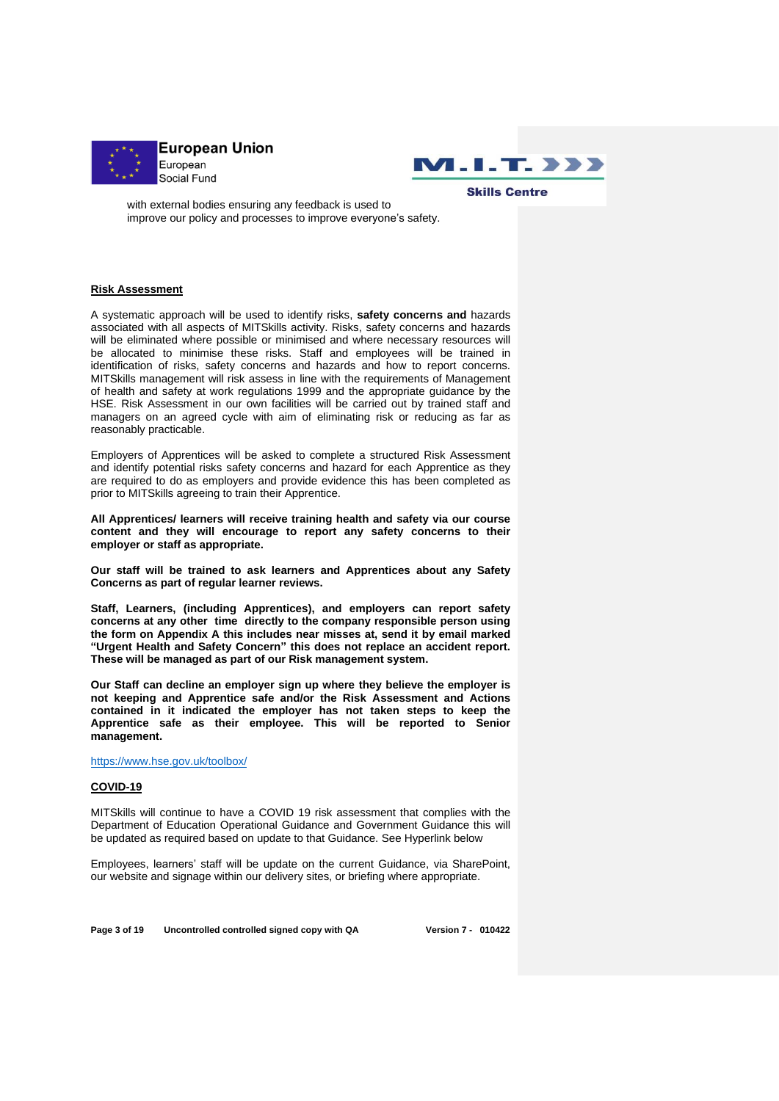



with external bodies ensuring any feedback is used to improve our policy and processes to improve everyone's safety.

#### **Risk Assessment**

A systematic approach will be used to identify risks, **safety concerns and** hazards associated with all aspects of MITSkills activity. Risks, safety concerns and hazards will be eliminated where possible or minimised and where necessary resources will be allocated to minimise these risks. Staff and employees will be trained in identification of risks, safety concerns and hazards and how to report concerns. MITSkills management will risk assess in line with the requirements of Management of health and safety at work regulations 1999 and the appropriate guidance by the HSE. Risk Assessment in our own facilities will be carried out by trained staff and managers on an agreed cycle with aim of eliminating risk or reducing as far as reasonably practicable.

Employers of Apprentices will be asked to complete a structured Risk Assessment and identify potential risks safety concerns and hazard for each Apprentice as they are required to do as employers and provide evidence this has been completed as prior to MITSkills agreeing to train their Apprentice.

**All Apprentices/ learners will receive training health and safety via our course content and they will encourage to report any safety concerns to their employer or staff as appropriate.**

**Our staff will be trained to ask learners and Apprentices about any Safety Concerns as part of regular learner reviews.**

**Staff, Learners, (including Apprentices), and employers can report safety concerns at any other time directly to the company responsible person using the form on Appendix A this includes near misses at, send it by email marked "Urgent Health and Safety Concern" this does not replace an accident report. These will be managed as part of our Risk management system.**

**Our Staff can decline an employer sign up where they believe the employer is not keeping and Apprentice safe and/or the Risk Assessment and Actions contained in it indicated the employer has not taken steps to keep the Apprentice safe as their employee. This will be reported to Senior management.**

<https://www.hse.gov.uk/toolbox/>

## **COVID-19**

MITSkills will continue to have a COVID 19 risk assessment that complies with the Department of Education Operational Guidance and Government Guidance this will be updated as required based on update to that Guidance. See Hyperlink below

Employees, learners' staff will be update on the current Guidance, via SharePoint, our website and signage within our delivery sites, or briefing where appropriate.

**Page 3 of 19 Uncontrolled controlled signed copy with QA Version 7 - 010422**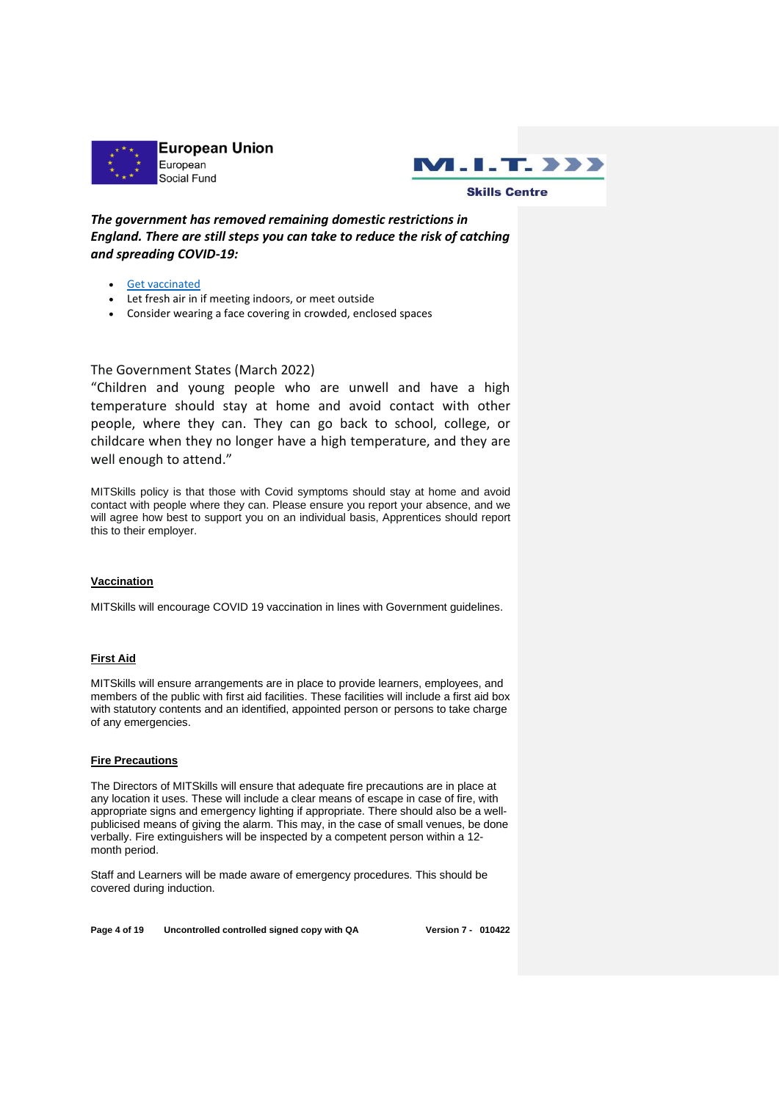



*The government has removed remaining domestic restrictions in England. There are still steps you can take to reduce the risk of catching and spreading COVID-19:*

- [Get vaccinated](https://www.nhs.uk/conditions/coronavirus-covid-19/coronavirus-vaccination/coronavirus-vaccine/)
- Let fresh air in if meeting indoors, or meet outside
- Consider wearing a face covering in crowded, enclosed spaces

## The Government States (March 2022)

"Children and young people who are unwell and have a high temperature should stay at home and avoid contact with other people, where they can. They can go back to school, college, or childcare when they no longer have a high temperature, and they are well enough to attend."

MITSkills policy is that those with Covid symptoms should stay at home and avoid contact with people where they can. Please ensure you report your absence, and we will agree how best to support you on an individual basis, Apprentices should report this to their employer.

#### **Vaccination**

MITSkills will encourage COVID 19 vaccination in lines with Government guidelines.

## **First Aid**

MITSkills will ensure arrangements are in place to provide learners, employees, and members of the public with first aid facilities. These facilities will include a first aid box with statutory contents and an identified, appointed person or persons to take charge of any emergencies.

#### **Fire Precautions**

The Directors of MITSkills will ensure that adequate fire precautions are in place at any location it uses. These will include a clear means of escape in case of fire, with appropriate signs and emergency lighting if appropriate. There should also be a wellpublicised means of giving the alarm. This may, in the case of small venues, be done verbally. Fire extinguishers will be inspected by a competent person within a 12 month period.

Staff and Learners will be made aware of emergency procedures. This should be covered during induction.

**Page 4 of 19 Uncontrolled controlled signed copy with QA Version 7 - 010422**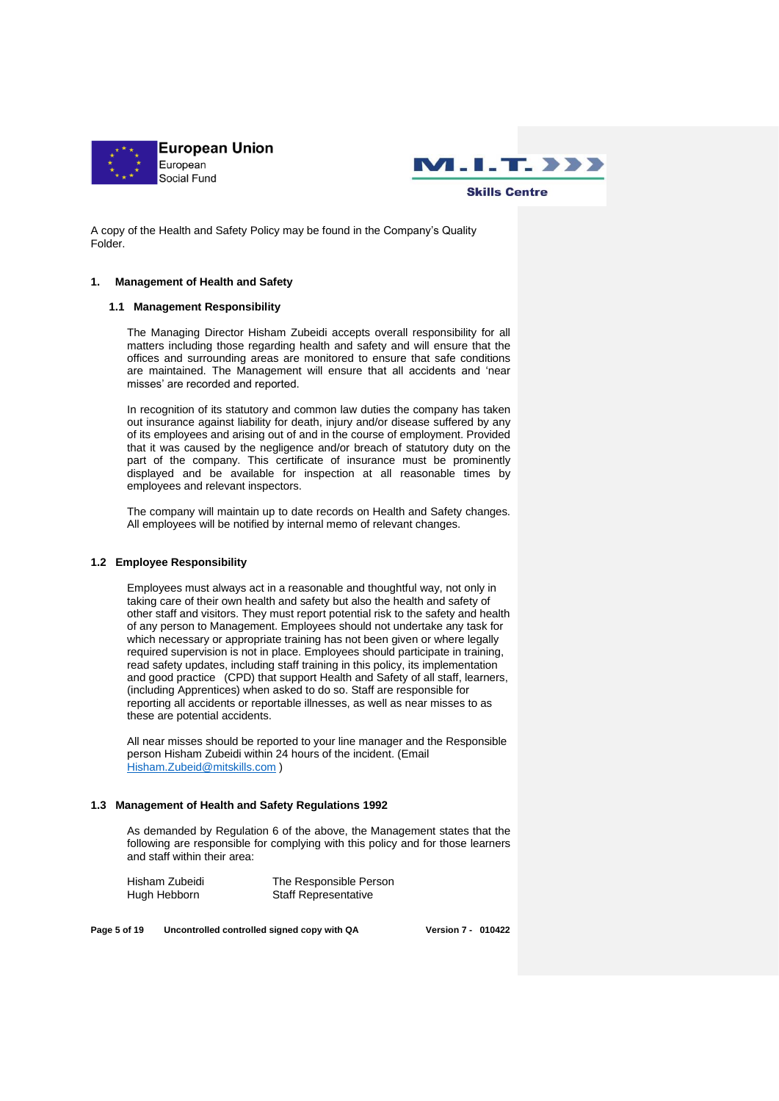



A copy of the Health and Safety Policy may be found in the Company's Quality Folder.

#### **1. Management of Health and Safety**

## **1.1 Management Responsibility**

The Managing Director Hisham Zubeidi accepts overall responsibility for all matters including those regarding health and safety and will ensure that the offices and surrounding areas are monitored to ensure that safe conditions are maintained. The Management will ensure that all accidents and 'near misses' are recorded and reported.

In recognition of its statutory and common law duties the company has taken out insurance against liability for death, injury and/or disease suffered by any of its employees and arising out of and in the course of employment. Provided that it was caused by the negligence and/or breach of statutory duty on the part of the company. This certificate of insurance must be prominently displayed and be available for inspection at all reasonable times by employees and relevant inspectors.

The company will maintain up to date records on Health and Safety changes. All employees will be notified by internal memo of relevant changes.

#### **1.2 Employee Responsibility**

Employees must always act in a reasonable and thoughtful way, not only in taking care of their own health and safety but also the health and safety of other staff and visitors. They must report potential risk to the safety and health of any person to Management. Employees should not undertake any task for which necessary or appropriate training has not been given or where legally required supervision is not in place. Employees should participate in training, read safety updates, including staff training in this policy, its implementation and good practice (CPD) that support Health and Safety of all staff, learners, (including Apprentices) when asked to do so. Staff are responsible for reporting all accidents or reportable illnesses, as well as near misses to as these are potential accidents.

All near misses should be reported to your line manager and the Responsible person Hisham Zubeidi within 24 hours of the incident. (Email [Hisham.Zubeid@mitskills.com](mailto:Hisham.Zubeid@mitskills.com) )

#### **1.3 Management of Health and Safety Regulations 1992**

As demanded by Regulation 6 of the above, the Management states that the following are responsible for complying with this policy and for those learners and staff within their area:

Hisham Zubeidi The Responsible Person Hugh Hebborn Staff Representative

**Page 5 of 19 Uncontrolled controlled signed copy with QA Version 7 - 010422**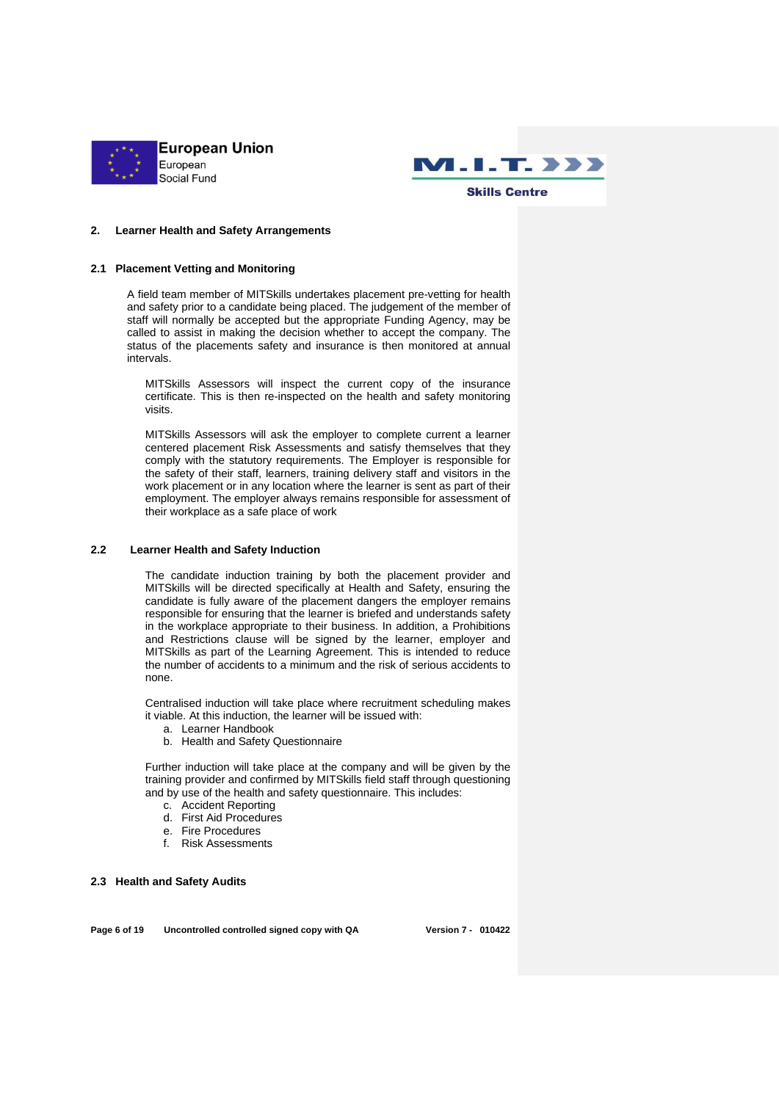



#### **2. Learner Health and Safety Arrangements**

#### **2.1 Placement Vetting and Monitoring**

A field team member of MITSkills undertakes placement pre-vetting for health and safety prior to a candidate being placed. The judgement of the member of staff will normally be accepted but the appropriate Funding Agency, may be called to assist in making the decision whether to accept the company. The status of the placements safety and insurance is then monitored at annual intervals.

MITSkills Assessors will inspect the current copy of the insurance certificate. This is then re-inspected on the health and safety monitoring visits.

MITSkills Assessors will ask the employer to complete current a learner centered placement Risk Assessments and satisfy themselves that they comply with the statutory requirements. The Employer is responsible for the safety of their staff, learners, training delivery staff and visitors in the work placement or in any location where the learner is sent as part of their employment. The employer always remains responsible for assessment of their workplace as a safe place of work

#### **2.2 Learner Health and Safety Induction**

The candidate induction training by both the placement provider and MITSkills will be directed specifically at Health and Safety, ensuring the candidate is fully aware of the placement dangers the employer remains responsible for ensuring that the learner is briefed and understands safety in the workplace appropriate to their business. In addition, a Prohibitions and Restrictions clause will be signed by the learner, employer and MITSkills as part of the Learning Agreement. This is intended to reduce the number of accidents to a minimum and the risk of serious accidents to none.

Centralised induction will take place where recruitment scheduling makes it viable. At this induction, the learner will be issued with:

- a. Learner Handbook
- b. Health and Safety Questionnaire

Further induction will take place at the company and will be given by the training provider and confirmed by MITSkills field staff through questioning and by use of the health and safety questionnaire. This includes:

- c. Accident Reporting
- d. First Aid Procedures
- e. Fire Procedures
- f. Risk Assessments

**2.3 Health and Safety Audits**

**Page 6 of 19 Uncontrolled controlled signed copy with QA Version 7 - 010422**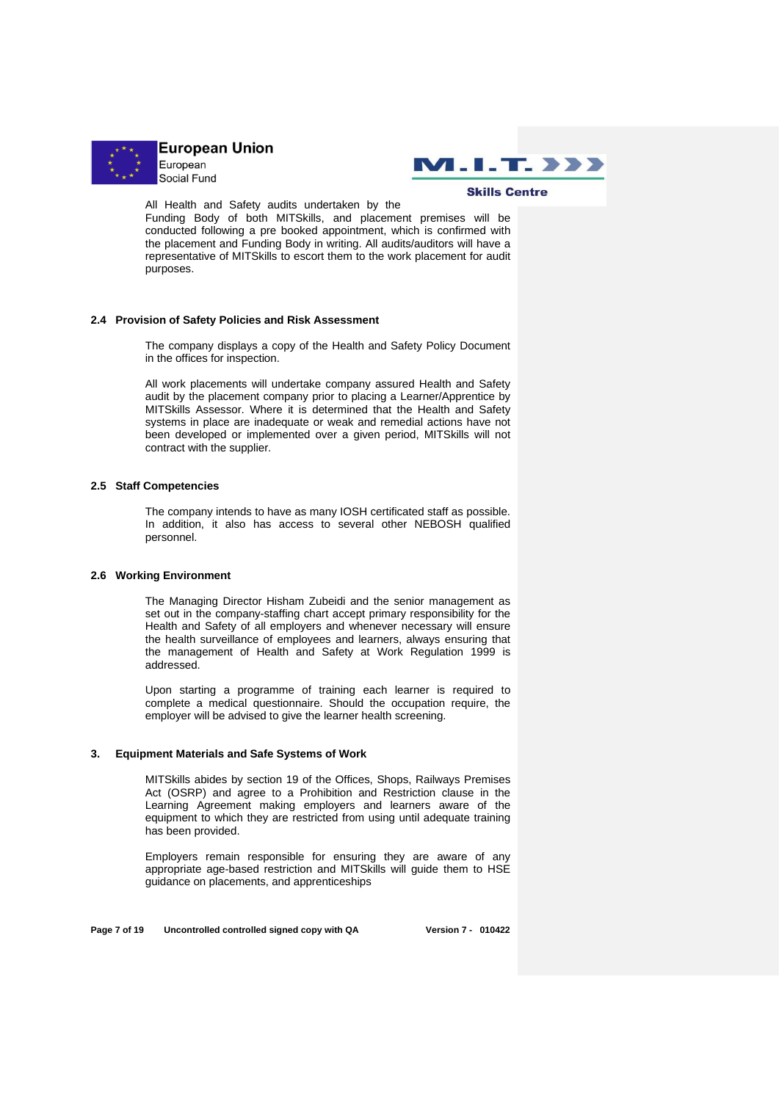



All Health and Safety audits undertaken by the

Funding Body of both MITSkills, and placement premises will be conducted following a pre booked appointment, which is confirmed with the placement and Funding Body in writing. All audits/auditors will have a representative of MITSkills to escort them to the work placement for audit purposes.

#### **2.4 Provision of Safety Policies and Risk Assessment**

The company displays a copy of the Health and Safety Policy Document in the offices for inspection.

All work placements will undertake company assured Health and Safety audit by the placement company prior to placing a Learner/Apprentice by MITSkills Assessor. Where it is determined that the Health and Safety systems in place are inadequate or weak and remedial actions have not been developed or implemented over a given period, MITSkills will not contract with the supplier.

#### **2.5 Staff Competencies**

The company intends to have as many IOSH certificated staff as possible. In addition, it also has access to several other NEBOSH qualified personnel.

#### **2.6 Working Environment**

The Managing Director Hisham Zubeidi and the senior management as set out in the company-staffing chart accept primary responsibility for the Health and Safety of all employers and whenever necessary will ensure the health surveillance of employees and learners, always ensuring that the management of Health and Safety at Work Regulation 1999 is addressed.

Upon starting a programme of training each learner is required to complete a medical questionnaire. Should the occupation require, the employer will be advised to give the learner health screening.

#### **3. Equipment Materials and Safe Systems of Work**

MITSkills abides by section 19 of the Offices, Shops, Railways Premises Act (OSRP) and agree to a Prohibition and Restriction clause in the Learning Agreement making employers and learners aware of the equipment to which they are restricted from using until adequate training has been provided.

Employers remain responsible for ensuring they are aware of any appropriate age-based restriction and MITSkills will guide them to HSE guidance on placements, and apprenticeships

**Page 7 of 19 Uncontrolled controlled signed copy with QA Version 7 - 010422**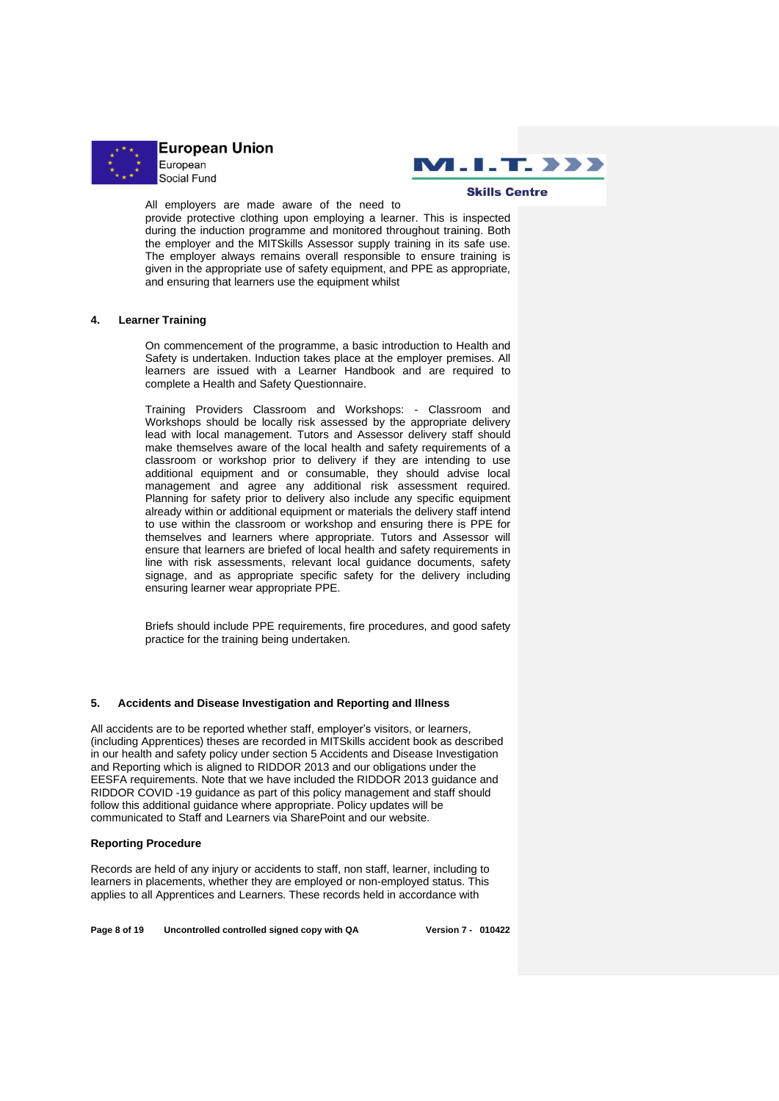



All employers are made aware of the need to

provide protective clothing upon employing a learner. This is inspected during the induction programme and monitored throughout training. Both the employer and the MITSkills Assessor supply training in its safe use. The employer always remains overall responsible to ensure training is given in the appropriate use of safety equipment, and PPE as appropriate, and ensuring that learners use the equipment whilst

#### **4. Learner Training**

On commencement of the programme, a basic introduction to Health and Safety is undertaken. Induction takes place at the employer premises. All learners are issued with a Learner Handbook and are required to complete a Health and Safety Questionnaire.

Training Providers Classroom and Workshops: - Classroom and Workshops should be locally risk assessed by the appropriate delivery lead with local management. Tutors and Assessor delivery staff should make themselves aware of the local health and safety requirements of a classroom or workshop prior to delivery if they are intending to use additional equipment and or consumable, they should advise local management and agree any additional risk assessment required. Planning for safety prior to delivery also include any specific equipment already within or additional equipment or materials the delivery staff intend to use within the classroom or workshop and ensuring there is PPE for themselves and learners where appropriate. Tutors and Assessor will ensure that learners are briefed of local health and safety requirements in line with risk assessments, relevant local guidance documents, safety signage, and as appropriate specific safety for the delivery including ensuring learner wear appropriate PPE.

Briefs should include PPE requirements, fire procedures, and good safety practice for the training being undertaken.

#### **5. Accidents and Disease Investigation and Reporting and Illness**

All accidents are to be reported whether staff, employer's visitors, or learners, (including Apprentices) theses are recorded in MITSkills accident book as described in our health and safety policy under section 5 Accidents and Disease Investigation and Reporting which is aligned to RIDDOR 2013 and our obligations under the EESFA requirements. Note that we have included the RIDDOR 2013 guidance and RIDDOR COVID -19 guidance as part of this policy management and staff should follow this additional guidance where appropriate. Policy updates will be communicated to Staff and Learners via SharePoint and our website.

#### **Reporting Procedure**

Records are held of any injury or accidents to staff, non staff, learner, including to learners in placements, whether they are employed or non-employed status. This applies to all Apprentices and Learners. These records held in accordance with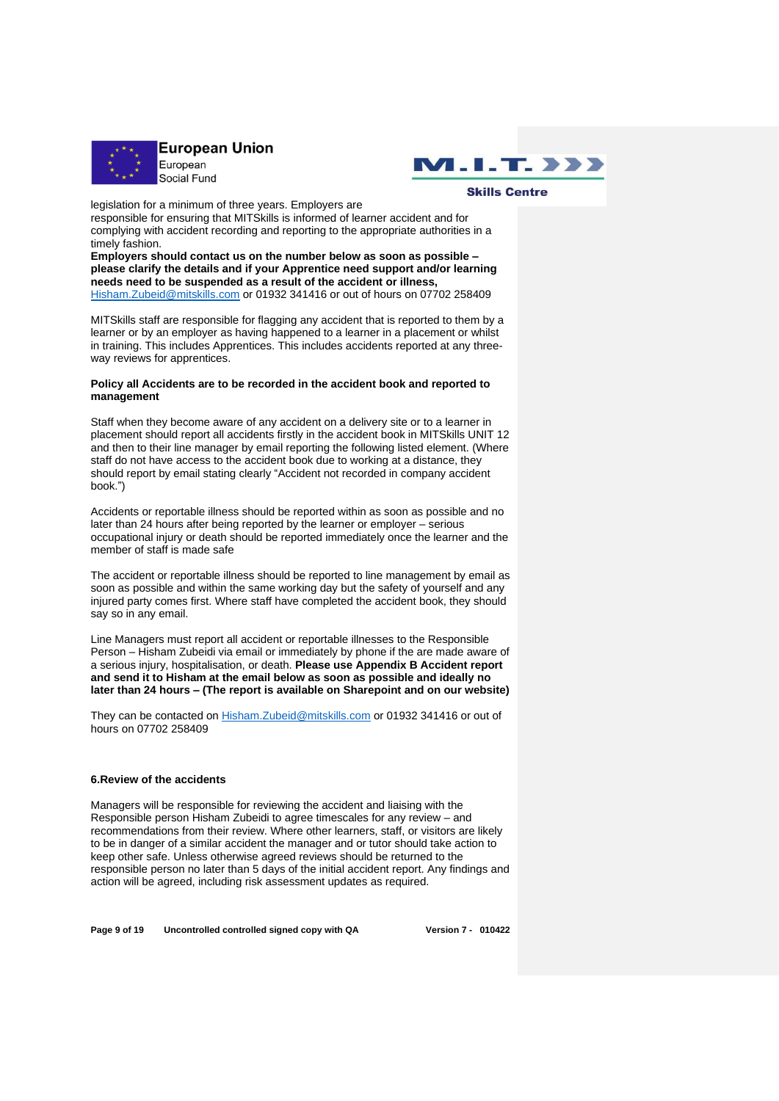



legislation for a minimum of three years. Employers are

responsible for ensuring that MITSkills is informed of learner accident and for complying with accident recording and reporting to the appropriate authorities in a timely fashion.

**Employers should contact us on the number below as soon as possible – please clarify the details and if your Apprentice need support and/or learning needs need to be suspended as a result of the accident or illness,** [Hisham.Zubeid@mitskills.com](mailto:Hisham.Zubeid@mitskills.com) or 01932 341416 or out of hours on 07702 258409

MITSkills staff are responsible for flagging any accident that is reported to them by a learner or by an employer as having happened to a learner in a placement or whilst in training. This includes Apprentices. This includes accidents reported at any threeway reviews for apprentices.

#### **Policy all Accidents are to be recorded in the accident book and reported to management**

Staff when they become aware of any accident on a delivery site or to a learner in placement should report all accidents firstly in the accident book in MITSkills UNIT 12 and then to their line manager by email reporting the following listed element. (Where staff do not have access to the accident book due to working at a distance, they should report by email stating clearly "Accident not recorded in company accident book.")

Accidents or reportable illness should be reported within as soon as possible and no later than 24 hours after being reported by the learner or employer – serious occupational injury or death should be reported immediately once the learner and the member of staff is made safe

The accident or reportable illness should be reported to line management by email as soon as possible and within the same working day but the safety of yourself and any injured party comes first. Where staff have completed the accident book, they should say so in any email.

Line Managers must report all accident or reportable illnesses to the Responsible Person – Hisham Zubeidi via email or immediately by phone if the are made aware of a serious injury, hospitalisation, or death. **Please use Appendix B Accident report and send it to Hisham at the email below as soon as possible and ideally no later than 24 hours – (The report is available on Sharepoint and on our website)**

They can be contacted on [Hisham.Zubeid@mitskills.com](mailto:Hisham.Zubeid@mitskills.com) or 01932 341416 or out of hours on 07702 258409

## **6.Review of the accidents**

Managers will be responsible for reviewing the accident and liaising with the Responsible person Hisham Zubeidi to agree timescales for any review – and recommendations from their review. Where other learners, staff, or visitors are likely to be in danger of a similar accident the manager and or tutor should take action to keep other safe. Unless otherwise agreed reviews should be returned to the responsible person no later than 5 days of the initial accident report. Any findings and action will be agreed, including risk assessment updates as required.

**Page 9 of 19 Uncontrolled controlled signed copy with QA Version 7 - 010422**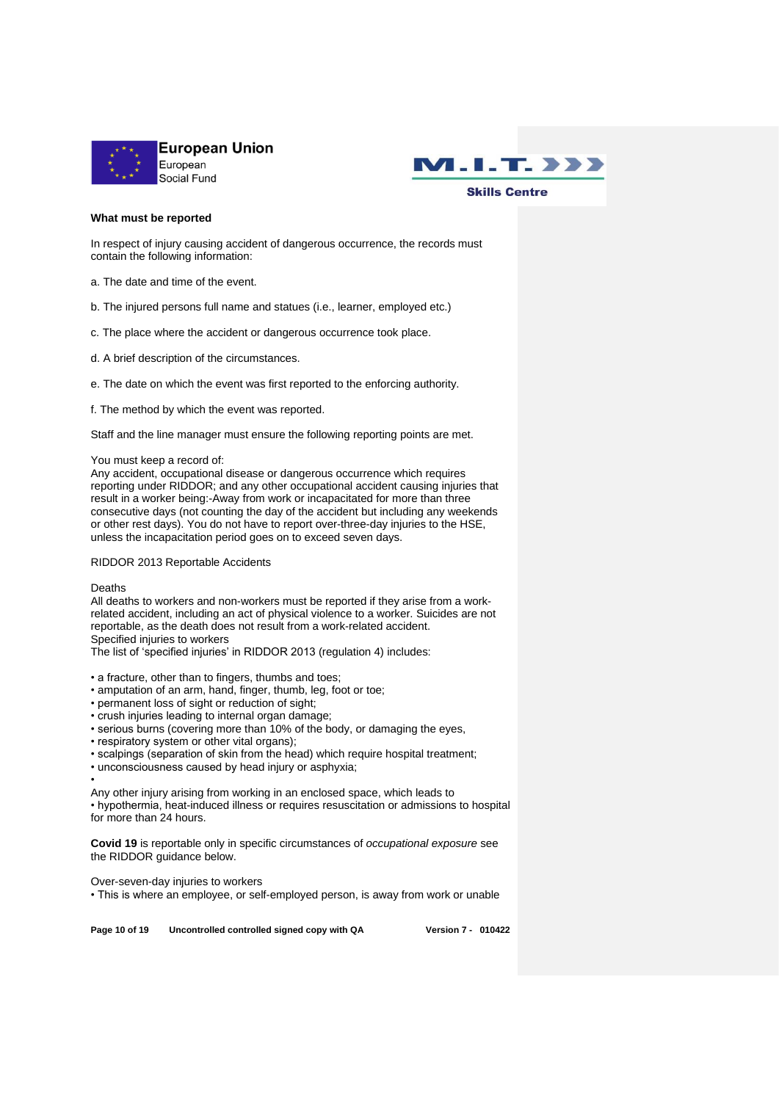



## **What must be reported**

In respect of injury causing accident of dangerous occurrence, the records must contain the following information:

a. The date and time of the event.

- b. The injured persons full name and statues (i.e., learner, employed etc.)
- c. The place where the accident or dangerous occurrence took place.
- d. A brief description of the circumstances.
- e. The date on which the event was first reported to the enforcing authority.
- f. The method by which the event was reported.

Staff and the line manager must ensure the following reporting points are met.

#### You must keep a record of:

Any accident, occupational disease or dangerous occurrence which requires reporting under RIDDOR; and any other occupational accident causing injuries that result in a worker being:-Away from work or incapacitated for more than three consecutive days (not counting the day of the accident but including any weekends or other rest days). You do not have to report over-three-day injuries to the HSE, unless the incapacitation period goes on to exceed seven days.

#### RIDDOR 2013 Reportable Accidents

#### Deaths

All deaths to workers and non-workers must be reported if they arise from a workrelated accident, including an act of physical violence to a worker. Suicides are not reportable, as the death does not result from a work-related accident. Specified injuries to workers

The list of 'specified injuries' in RIDDOR 2013 (regulation 4) includes:

- a fracture, other than to fingers, thumbs and toes;
- amputation of an arm, hand, finger, thumb, leg, foot or toe;
- permanent loss of sight or reduction of sight;
- crush injuries leading to internal organ damage;
- serious burns (covering more than 10% of the body, or damaging the eyes,
- respiratory system or other vital organs);
- scalpings (separation of skin from the head) which require hospital treatment:
- unconsciousness caused by head injury or asphyxia;
- •

Any other injury arising from working in an enclosed space, which leads to • hypothermia, heat-induced illness or requires resuscitation or admissions to hospital for more than 24 hours.

**Covid 19** is reportable only in specific circumstances of *occupational exposure* see the RIDDOR guidance below.

Over-seven-day injuries to workers

• This is where an employee, or self-employed person, is away from work or unable

**Page 10 of 19 Uncontrolled controlled signed copy with QA Version 7 - 010422**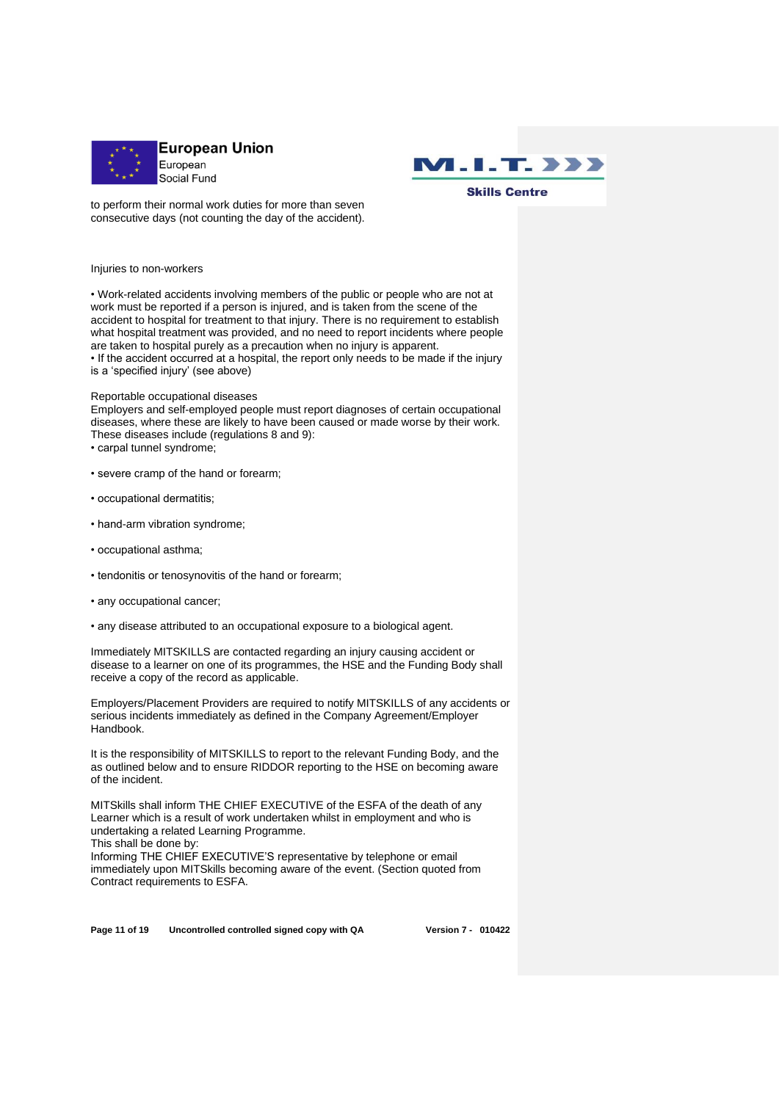



to perform their normal work duties for more than seven consecutive days (not counting the day of the accident).

Injuries to non-workers

• Work-related accidents involving members of the public or people who are not at work must be reported if a person is injured, and is taken from the scene of the accident to hospital for treatment to that injury. There is no requirement to establish what hospital treatment was provided, and no need to report incidents where people are taken to hospital purely as a precaution when no injury is apparent.

• If the accident occurred at a hospital, the report only needs to be made if the injury is a 'specified injury' (see above)

#### Reportable occupational diseases

Employers and self-employed people must report diagnoses of certain occupational diseases, where these are likely to have been caused or made worse by their work. These diseases include (regulations 8 and 9):

- carpal tunnel syndrome;
- severe cramp of the hand or forearm;
- occupational dermatitis;
- hand-arm vibration syndrome;
- occupational asthma;
- tendonitis or tenosynovitis of the hand or forearm;
- any occupational cancer;
- any disease attributed to an occupational exposure to a biological agent.

Immediately MITSKILLS are contacted regarding an injury causing accident or disease to a learner on one of its programmes, the HSE and the Funding Body shall receive a copy of the record as applicable.

Employers/Placement Providers are required to notify MITSKILLS of any accidents or serious incidents immediately as defined in the Company Agreement/Employer Handbook.

It is the responsibility of MITSKILLS to report to the relevant Funding Body, and the as outlined below and to ensure RIDDOR reporting to the HSE on becoming aware of the incident.

MITSkills shall inform THE CHIEF EXECUTIVE of the ESFA of the death of any Learner which is a result of work undertaken whilst in employment and who is undertaking a related Learning Programme.

This shall be done by:

Informing THE CHIEF EXECUTIVE'S representative by telephone or email immediately upon MITSkills becoming aware of the event. (Section quoted from Contract requirements to ESFA.

**Page 11 of 19 Uncontrolled controlled signed copy with QA Version 7 - 010422**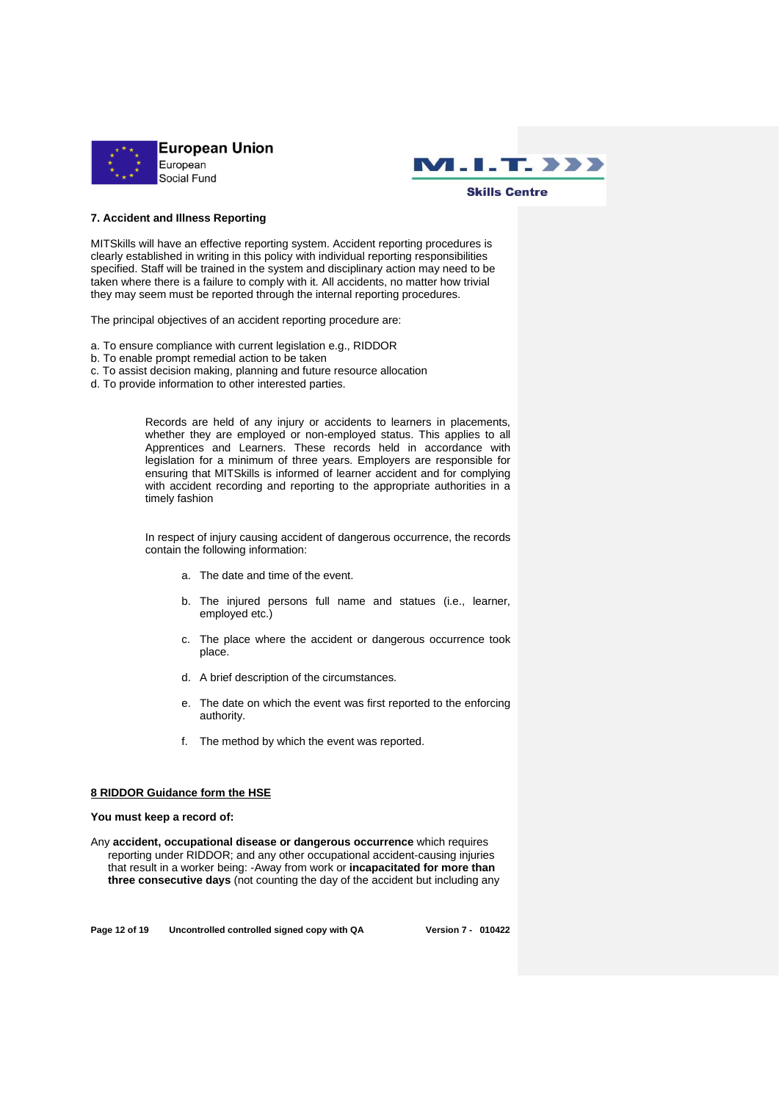



#### **7. Accident and Illness Reporting**

MITSkills will have an effective reporting system. Accident reporting procedures is clearly established in writing in this policy with individual reporting responsibilities specified. Staff will be trained in the system and disciplinary action may need to be taken where there is a failure to comply with it. All accidents, no matter how trivial they may seem must be reported through the internal reporting procedures.

The principal objectives of an accident reporting procedure are:

- a. To ensure compliance with current legislation e.g., RIDDOR
- b. To enable prompt remedial action to be taken
- c. To assist decision making, planning and future resource allocation
- d. To provide information to other interested parties.

Records are held of any injury or accidents to learners in placements, whether they are employed or non-employed status. This applies to all Apprentices and Learners. These records held in accordance with legislation for a minimum of three years. Employers are responsible for ensuring that MITSkills is informed of learner accident and for complying with accident recording and reporting to the appropriate authorities in a timely fashion

In respect of injury causing accident of dangerous occurrence, the records contain the following information:

- a. The date and time of the event.
- b. The injured persons full name and statues (i.e., learner, employed etc.)
- c. The place where the accident or dangerous occurrence took place.
- d. A brief description of the circumstances.
- e. The date on which the event was first reported to the enforcing authority.
- f. The method by which the event was reported.

#### **8 RIDDOR Guidance form the HSE**

#### **You must keep a record of:**

Any **accident, occupational disease or dangerous occurrence** which requires reporting under RIDDOR; and any other occupational accident-causing injuries that result in a worker being: -Away from work or **incapacitated for more than three consecutive days** (not counting the day of the accident but including any

**Page 12 of 19 Uncontrolled controlled signed copy with QA Version 7 - 010422**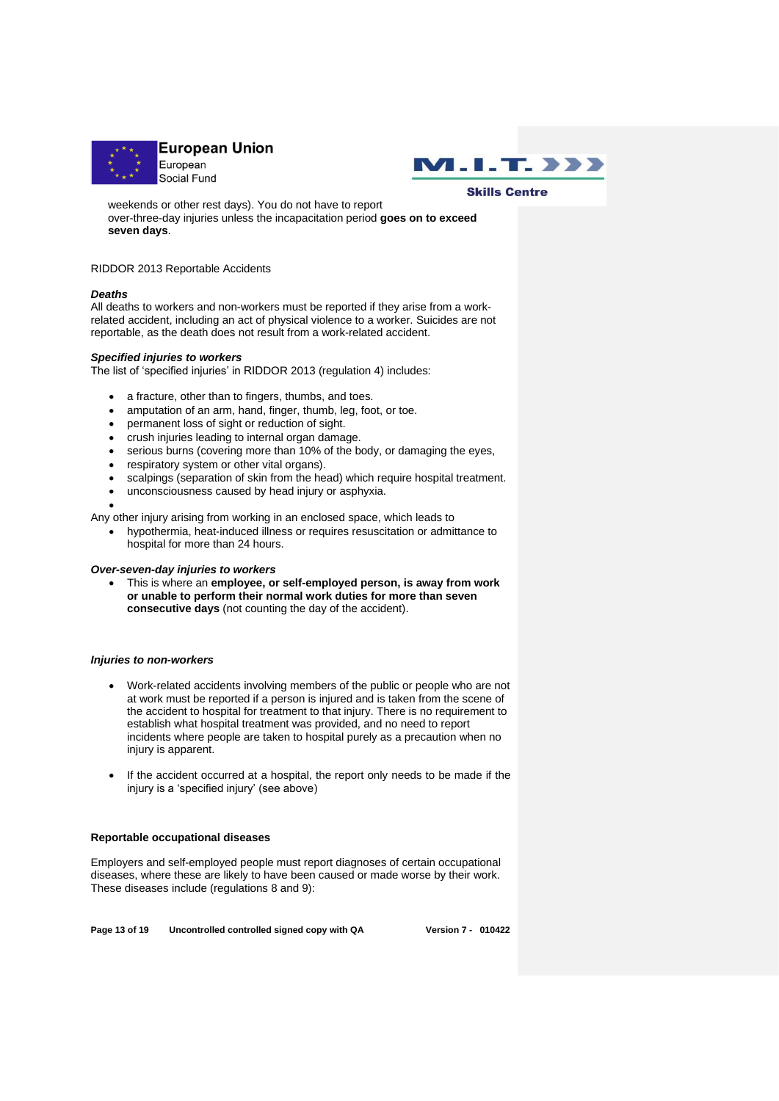



weekends or other rest days). You do not have to report over-three-day injuries unless the incapacitation period **goes on to exceed seven days**.

#### RIDDOR 2013 Reportable Accidents

## *Deaths*

All deaths to workers and non-workers must be reported if they arise from a workrelated accident, including an act of physical violence to a worker. Suicides are not reportable, as the death does not result from a work-related accident.

## *Specified injuries to workers*

The list of 'specified injuries' in RIDDOR 2013 (regulation 4) includes:

- a fracture, other than to fingers, thumbs, and toes.
- amputation of an arm, hand, finger, thumb, leg, foot, or toe.
- permanent loss of sight or reduction of sight.
- crush injuries leading to internal organ damage.
- serious burns (covering more than 10% of the body, or damaging the eyes,
- respiratory system or other vital organs).
- scalpings (separation of skin from the head) which require hospital treatment.
- unconsciousness caused by head injury or asphyxia.

•

Any other injury arising from working in an enclosed space, which leads to

• hypothermia, heat-induced illness or requires resuscitation or admittance to hospital for more than 24 hours.

## *Over-seven-day injuries to workers*

• This is where an **employee, or self-employed person, is away from work or unable to perform their normal work duties for more than seven consecutive days** (not counting the day of the accident).

#### *Injuries to non-workers*

- Work-related accidents involving members of the public or people who are not at work must be reported if a person is injured and is taken from the scene of the accident to hospital for treatment to that injury. There is no requirement to establish what hospital treatment was provided, and no need to report incidents where people are taken to hospital purely as a precaution when no injury is apparent.
- If the accident occurred at a hospital, the report only needs to be made if the injury is a 'specified injury' (see above)

#### **Reportable occupational diseases**

Employers and self-employed people must report diagnoses of certain occupational diseases, where these are likely to have been caused or made worse by their work. These diseases include (regulations 8 and 9):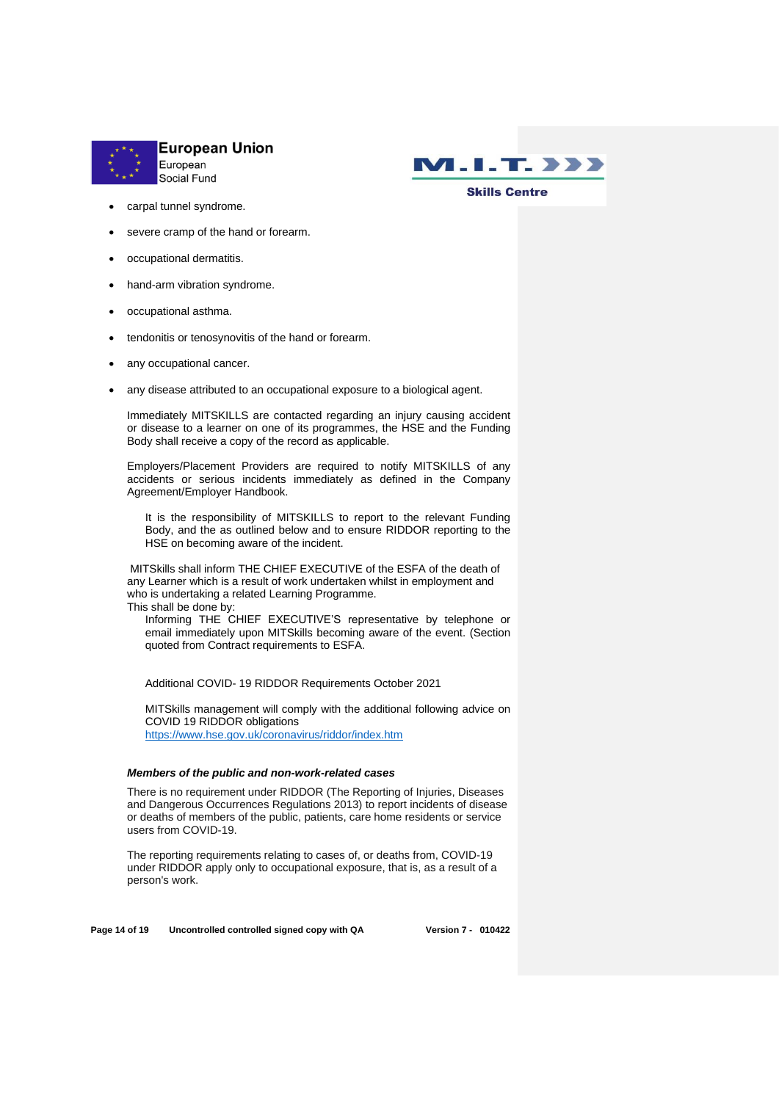



#### carpal tunnel syndrome.

- severe cramp of the hand or forearm.
- occupational dermatitis.
- hand-arm vibration syndrome.
- occupational asthma.
- tendonitis or tenosynovitis of the hand or forearm.
- any occupational cancer.
- any disease attributed to an occupational exposure to a biological agent.

Immediately MITSKILLS are contacted regarding an injury causing accident or disease to a learner on one of its programmes, the HSE and the Funding Body shall receive a copy of the record as applicable.

Employers/Placement Providers are required to notify MITSKILLS of any accidents or serious incidents immediately as defined in the Company Agreement/Employer Handbook.

It is the responsibility of MITSKILLS to report to the relevant Funding Body, and the as outlined below and to ensure RIDDOR reporting to the HSE on becoming aware of the incident.

MITSkills shall inform THE CHIEF EXECUTIVE of the ESFA of the death of any Learner which is a result of work undertaken whilst in employment and who is undertaking a related Learning Programme. This shall be done by:

Informing THE CHIEF EXECUTIVE'S representative by telephone or email immediately upon MITSkills becoming aware of the event. (Section quoted from Contract requirements to ESFA.

Additional COVID- 19 RIDDOR Requirements October 2021

MITSkills management will comply with the additional following advice on COVID 19 RIDDOR obligations <https://www.hse.gov.uk/coronavirus/riddor/index.htm>

## *Members of the public and non-work-related cases*

There is no requirement under RIDDOR (The Reporting of Injuries, Diseases and Dangerous Occurrences Regulations 2013) to report incidents of disease or deaths of members of the public, patients, care home residents or service users from COVID-19.

The reporting requirements relating to cases of, or deaths from, COVID-19 under RIDDOR apply only to occupational exposure, that is, as a result of a person's work.

**Page 14 of 19 Uncontrolled controlled signed copy with QA Version 7 - 010422**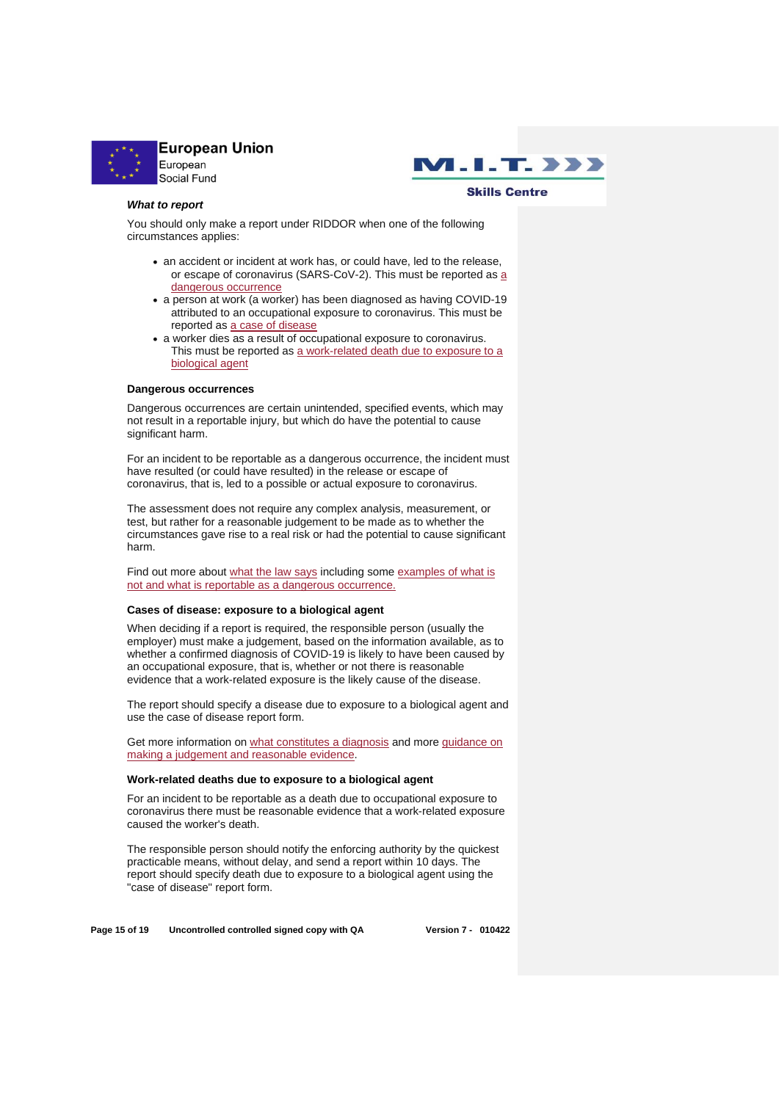



#### *What to report*

You should only make a report under RIDDOR when one of the following circumstances applies:

- an accident or incident at work has, or could have, led to the release, or escape of coronavirus (SARS-CoV-2). This must be reported as a [dangerous occurrence](https://www.hse.gov.uk/coronavirus/riddor/index.htm#dangerous)
- a person at work (a worker) has been diagnosed as having COVID-19 attributed to an occupational exposure to coronavirus. This must be reported as [a case of disease](https://www.hse.gov.uk/coronavirus/riddor/index.htm#disease)
- a worker dies as a result of occupational exposure to coronavirus. This must be reported as a work-related death due to exposure to a [biological agent](https://www.hse.gov.uk/coronavirus/riddor/index.htm#death)

#### **Dangerous occurrences**

Dangerous occurrences are certain unintended, specified events, which may not result in a reportable injury, but which do have the potential to cause significant harm.

For an incident to be reportable as a dangerous occurrence, the incident must have resulted (or could have resulted) in the release or escape of coronavirus, that is, led to a possible or actual exposure to coronavirus.

The assessment does not require any complex analysis, measurement, or test, but rather for a reasonable judgement to be made as to whether the circumstances gave rise to a real risk or had the potential to cause significant harm.

Find out more about [what the law says](https://www.hse.gov.uk/coronavirus/riddor/riddor-reporting-further-guidance.htm#dangerous-law) including some [examples of what is](https://www.hse.gov.uk/coronavirus/riddor/riddor-reporting-further-guidance.htm#dangerous-reportable) [not and what is reportable as a dangerous occurrence.](https://www.hse.gov.uk/coronavirus/riddor/riddor-reporting-further-guidance.htm#dangerous-reportable)

#### **Cases of disease: exposure to a biological agent**

When deciding if a report is required, the responsible person (usually the employer) must make a judgement, based on the information available, as to whether a confirmed diagnosis of COVID-19 is likely to have been caused by an occupational exposure, that is, whether or not there is reasonable evidence that a work-related exposure is the likely cause of the disease.

The report should specify a disease due to exposure to a biological agent and use the case of disease report form.

Get more information on what [constitutes a diagnosis](https://www.hse.gov.uk/coronavirus/riddor/riddor-reporting-further-guidance.htm#disease-diagnosis) and more [guidance on](https://www.hse.gov.uk/coronavirus/riddor/riddor-reporting-further-guidance.htm#disease-law)  [making a judgement and reasonable evidence.](https://www.hse.gov.uk/coronavirus/riddor/riddor-reporting-further-guidance.htm#disease-law)

#### **Work-related deaths due to exposure to a biological agent**

For an incident to be reportable as a death due to occupational exposure to coronavirus there must be reasonable evidence that a work-related exposure caused the worker's death.

The responsible person should notify the enforcing authority by the quickest practicable means, without delay, and send a report within 10 days. The report should specify death due to exposure to a biological agent using the "case of disease" report form.

**Page 15 of 19 Uncontrolled controlled signed copy with QA Version 7 - 010422**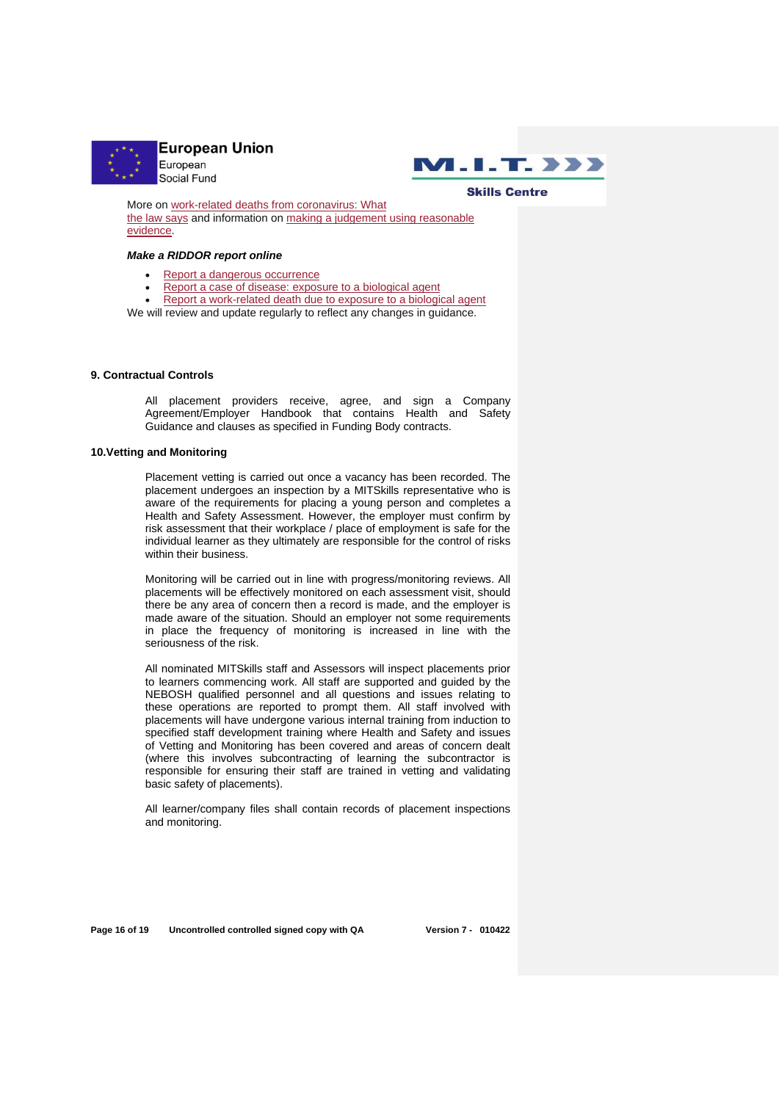



More on [work-related deaths from coronavirus: What](https://www.hse.gov.uk/coronavirus/riddor/riddor-reporting-further-guidance.htm#work-death)  [the law says](https://www.hse.gov.uk/coronavirus/riddor/riddor-reporting-further-guidance.htm#work-death) and information on [making a judgement using reasonable](https://www.hse.gov.uk/coronavirus/riddor/riddor-reporting-further-guidance.htm#work-death-reasonable)  [evidence.](https://www.hse.gov.uk/coronavirus/riddor/riddor-reporting-further-guidance.htm#work-death-reasonable)

#### *Make a RIDDOR report online*

- [Report a dangerous occurrence](https://notifications.hse.gov.uk/riddorforms/DangerousOccurrence)
- Report a case [of disease: exposure to a biological agent](https://notifications.hse.gov.uk/riddorforms/Disease)
- Report a [work-related death due to exposure to a biological agent](https://notifications.hse.gov.uk/riddorforms/Disease)

We will review and update regularly to reflect any changes in guidance.

#### **9. Contractual Controls**

All placement providers receive, agree, and sign a Company Agreement/Employer Handbook that contains Health and Safety Guidance and clauses as specified in Funding Body contracts.

## **10.Vetting and Monitoring**

Placement vetting is carried out once a vacancy has been recorded. The placement undergoes an inspection by a MITSkills representative who is aware of the requirements for placing a young person and completes a Health and Safety Assessment. However, the employer must confirm by risk assessment that their workplace / place of employment is safe for the individual learner as they ultimately are responsible for the control of risks within their business.

Monitoring will be carried out in line with progress/monitoring reviews. All placements will be effectively monitored on each assessment visit, should there be any area of concern then a record is made, and the employer is made aware of the situation. Should an employer not some requirements in place the frequency of monitoring is increased in line with the seriousness of the risk.

All nominated MITSkills staff and Assessors will inspect placements prior to learners commencing work. All staff are supported and guided by the NEBOSH qualified personnel and all questions and issues relating to these operations are reported to prompt them. All staff involved with placements will have undergone various internal training from induction to specified staff development training where Health and Safety and issues of Vetting and Monitoring has been covered and areas of concern dealt (where this involves subcontracting of learning the subcontractor is responsible for ensuring their staff are trained in vetting and validating basic safety of placements).

All learner/company files shall contain records of placement inspections and monitoring.

**Page 16 of 19 Uncontrolled controlled signed copy with QA Version 7 - 010422**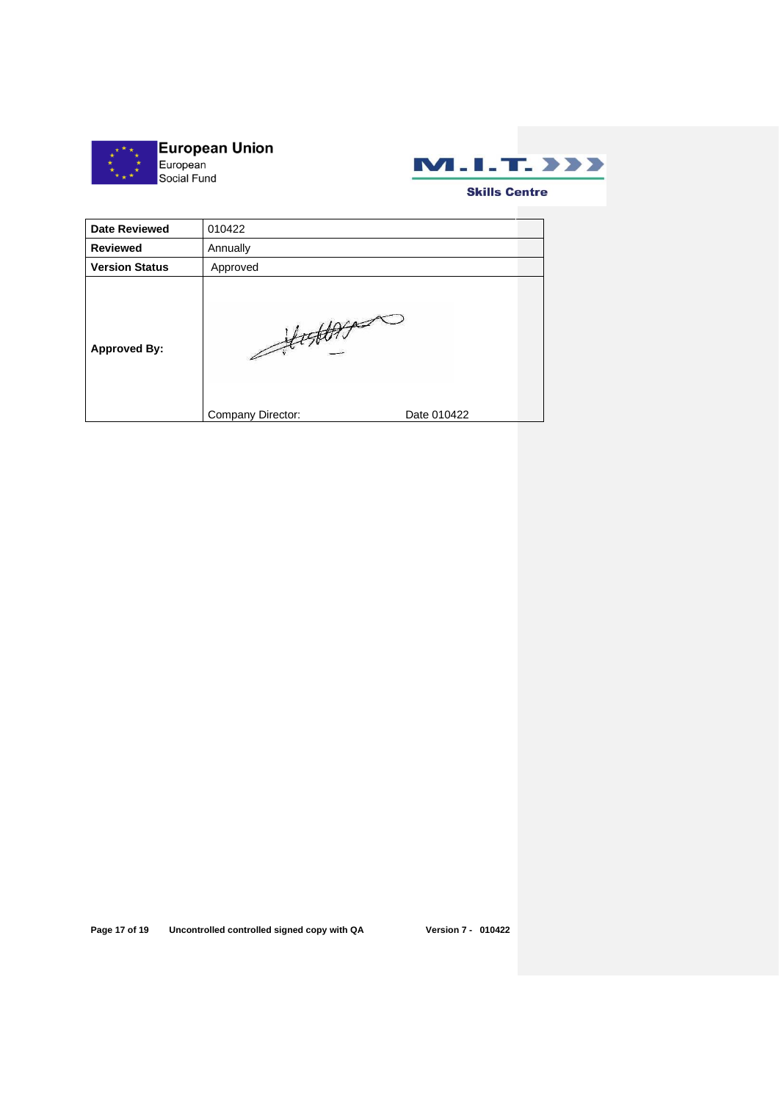



| <b>Date Reviewed</b>  | 010422                     |             |  |
|-----------------------|----------------------------|-------------|--|
| <b>Reviewed</b>       | Annually                   |             |  |
| <b>Version Status</b> | Approved                   |             |  |
| <b>Approved By:</b>   | 'ALAC<br>Company Director: | Date 010422 |  |

**Page 17 of 19 Uncontrolled controlled signed copy with QA Version 7 - 010422**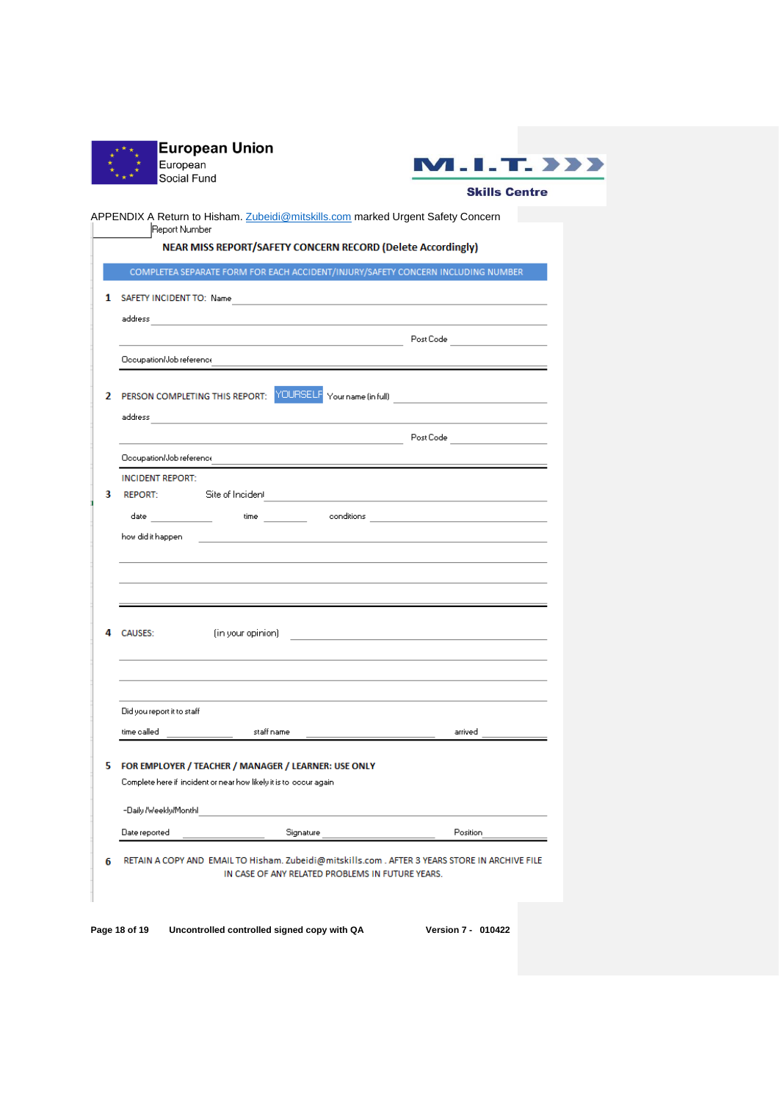|   | European<br>Social Fund    | <b>European Union</b>                                                                                                | п<br>7 <b>.</b><br><b>Skills Cen</b>                                             |  |
|---|----------------------------|----------------------------------------------------------------------------------------------------------------------|----------------------------------------------------------------------------------|--|
|   |                            |                                                                                                                      |                                                                                  |  |
|   | Report Number              | APPENDIX A Return to Hisham. Zubeidi@mitskills.com marked Urgent Safety Concern                                      |                                                                                  |  |
|   |                            | NEAR MISS REPORT/SAFETY CONCERN RECORD (Delete Accordingly)                                                          |                                                                                  |  |
|   |                            |                                                                                                                      | COMPLETEA SEPARATE FORM FOR EACH ACCIDENT/INJURY/SAFETY CONCERN INCLUDING NUMBER |  |
| 1 |                            | SAFETY INCIDENT TO: Name                                                                                             |                                                                                  |  |
|   |                            |                                                                                                                      |                                                                                  |  |
|   |                            |                                                                                                                      |                                                                                  |  |
|   |                            |                                                                                                                      |                                                                                  |  |
|   |                            |                                                                                                                      |                                                                                  |  |
| 2 |                            |                                                                                                                      | PERSON COMPLETING THIS REPORT: YOURSELF Your name (in full)                      |  |
|   |                            |                                                                                                                      |                                                                                  |  |
|   |                            |                                                                                                                      | <u> 1980 - Johann Stein, Amerikaansk politiker († 1908)</u>                      |  |
|   | Occupation/Job reference   |                                                                                                                      |                                                                                  |  |
|   | <b>INCIDENT REPORT:</b>    |                                                                                                                      |                                                                                  |  |
| 3 | REPORT:                    | Site of Incident                                                                                                     |                                                                                  |  |
|   |                            |                                                                                                                      |                                                                                  |  |
|   | how did it happen          |                                                                                                                      |                                                                                  |  |
|   |                            |                                                                                                                      |                                                                                  |  |
|   |                            |                                                                                                                      |                                                                                  |  |
|   |                            | <u> 1989 - Andrea Santa Andrea Andrea Andrea Andrea Andrea Andrea Andrea Andrea Andrea Andrea Andrea Andrea Andr</u> |                                                                                  |  |
|   | <b>CAUSES:</b>             |                                                                                                                      |                                                                                  |  |
|   |                            |                                                                                                                      |                                                                                  |  |
|   |                            |                                                                                                                      |                                                                                  |  |
|   |                            |                                                                                                                      |                                                                                  |  |
|   | Did you report it to staff |                                                                                                                      |                                                                                  |  |
|   | time called                | staff name                                                                                                           | arrived                                                                          |  |

5 FOR EMPLOYER / TEACHER / MANAGER / LEARNER: USE ONLY Complete here if incident or near how likely it is to loccur again

Signature

6 RETAIN A COPY AND EMAIL TO Hisham. Zubeidi@mitskills.com . AFTER 3 YEARS STORE IN ARCHIVE FILE IN CASE OF ANY RELATED PROBLEMS IN FUTURE YEARS.

 $I.T. 222$ 

## **Skills Centre**

<u> The Community of the Community of the Community of the Community of the Community of the Community of the Community of the Community of the Community of the Community of the Community of the Community of the Community of</u>

**Page 18 of 19 Uncontrolled controlled signed copy with QA Version 7 - 010422**

-Daily /Weekly/Monthl

Date reported

Position\_